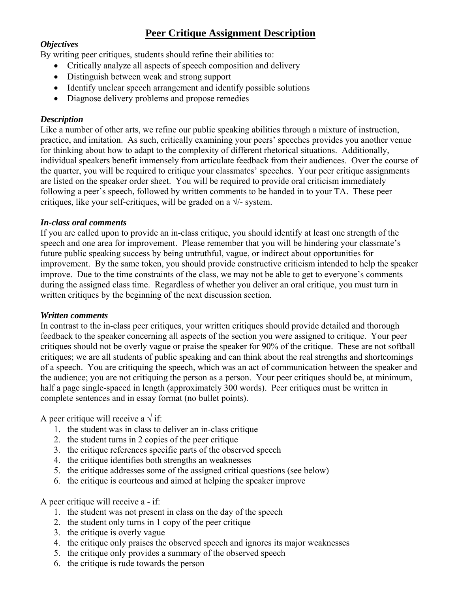# **Peer Critique Assignment Description**

## *Objectives*

By writing peer critiques, students should refine their abilities to:

- Critically analyze all aspects of speech composition and delivery
- Distinguish between weak and strong support
- Identify unclear speech arrangement and identify possible solutions
- Diagnose delivery problems and propose remedies

### *Description*

Like a number of other arts, we refine our public speaking abilities through a mixture of instruction, practice, and imitation. As such, critically examining your peers' speeches provides you another venue for thinking about how to adapt to the complexity of different rhetorical situations. Additionally, individual speakers benefit immensely from articulate feedback from their audiences. Over the course of the quarter, you will be required to critique your classmates' speeches. Your peer critique assignments are listed on the speaker order sheet. You will be required to provide oral criticism immediately following a peer's speech, followed by written comments to be handed in to your TA. These peer critiques, like your self-critiques, will be graded on a  $\sqrt{\ }$ - system.

#### *In-class oral comments*

If you are called upon to provide an in-class critique, you should identify at least one strength of the speech and one area for improvement. Please remember that you will be hindering your classmate's future public speaking success by being untruthful, vague, or indirect about opportunities for improvement. By the same token, you should provide constructive criticism intended to help the speaker improve. Due to the time constraints of the class, we may not be able to get to everyone's comments during the assigned class time. Regardless of whether you deliver an oral critique, you must turn in written critiques by the beginning of the next discussion section.

#### *Written comments*

In contrast to the in-class peer critiques, your written critiques should provide detailed and thorough feedback to the speaker concerning all aspects of the section you were assigned to critique. Your peer critiques should not be overly vague or praise the speaker for 90% of the critique. These are not softball critiques; we are all students of public speaking and can think about the real strengths and shortcomings of a speech. You are critiquing the speech, which was an act of communication between the speaker and the audience; you are not critiquing the person as a person. Your peer critiques should be, at minimum, half a page single-spaced in length (approximately 300 words). Peer critiques must be written in complete sentences and in essay format (no bullet points).

A peer critique will receive a  $\sqrt{if}$ :

- 1. the student was in class to deliver an in-class critique
- 2. the student turns in 2 copies of the peer critique
- 3. the critique references specific parts of the observed speech
- 4. the critique identifies both strengths an weaknesses
- 5. the critique addresses some of the assigned critical questions (see below)
- 6. the critique is courteous and aimed at helping the speaker improve

A peer critique will receive a - if:

- 1. the student was not present in class on the day of the speech
- 2. the student only turns in 1 copy of the peer critique
- 3. the critique is overly vague
- 4. the critique only praises the observed speech and ignores its major weaknesses
- 5. the critique only provides a summary of the observed speech
- 6. the critique is rude towards the person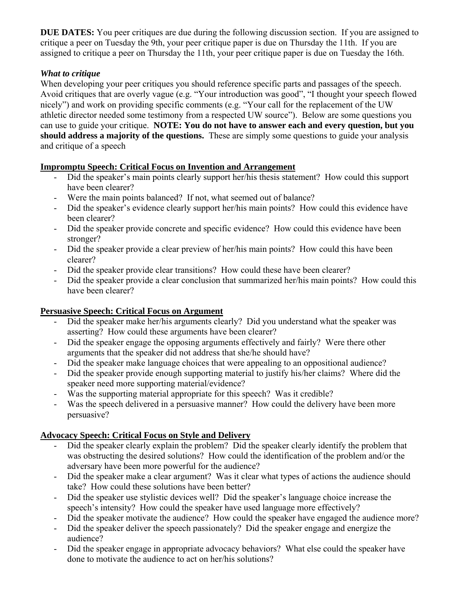**DUE DATES:** You peer critiques are due during the following discussion section. If you are assigned to critique a peer on Tuesday the 9th, your peer critique paper is due on Thursday the 11th. If you are assigned to critique a peer on Thursday the 11th, your peer critique paper is due on Tuesday the 16th.

# *What to critique*

When developing your peer critiques you should reference specific parts and passages of the speech. Avoid critiques that are overly vague (e.g. "Your introduction was good", "I thought your speech flowed nicely") and work on providing specific comments (e.g. "Your call for the replacement of the UW athletic director needed some testimony from a respected UW source"). Below are some questions you can use to guide your critique. **NOTE: You do not have to answer each and every question, but you should address a majority of the questions.** These are simply some questions to guide your analysis and critique of a speech

## **Impromptu Speech: Critical Focus on Invention and Arrangement**

- Did the speaker's main points clearly support her/his thesis statement? How could this support have been clearer?
- Were the main points balanced? If not, what seemed out of balance?
- Did the speaker's evidence clearly support her/his main points? How could this evidence have been clearer?
- Did the speaker provide concrete and specific evidence? How could this evidence have been stronger?
- Did the speaker provide a clear preview of her/his main points? How could this have been clearer?
- Did the speaker provide clear transitions? How could these have been clearer?
- Did the speaker provide a clear conclusion that summarized her/his main points? How could this have been clearer?

# **Persuasive Speech: Critical Focus on Argument**

- Did the speaker make her/his arguments clearly? Did you understand what the speaker was asserting? How could these arguments have been clearer?
- Did the speaker engage the opposing arguments effectively and fairly? Were there other arguments that the speaker did not address that she/he should have?
- Did the speaker make language choices that were appealing to an oppositional audience?
- Did the speaker provide enough supporting material to justify his/her claims? Where did the speaker need more supporting material/evidence?
- Was the supporting material appropriate for this speech? Was it credible?
- Was the speech delivered in a persuasive manner? How could the delivery have been more persuasive?

# **Advocacy Speech: Critical Focus on Style and Delivery**

- Did the speaker clearly explain the problem? Did the speaker clearly identify the problem that was obstructing the desired solutions? How could the identification of the problem and/or the adversary have been more powerful for the audience?
- Did the speaker make a clear argument? Was it clear what types of actions the audience should take? How could these solutions have been better?
- Did the speaker use stylistic devices well? Did the speaker's language choice increase the speech's intensity? How could the speaker have used language more effectively?
- Did the speaker motivate the audience? How could the speaker have engaged the audience more?
- Did the speaker deliver the speech passionately? Did the speaker engage and energize the audience?
- Did the speaker engage in appropriate advocacy behaviors? What else could the speaker have done to motivate the audience to act on her/his solutions?